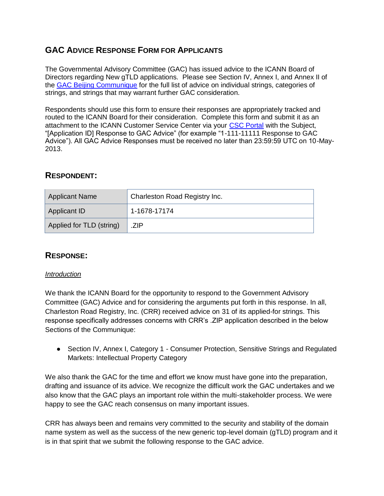# **GAC ADVICE RESPONSE FORM FOR APPLICANTS**

The Governmental Advisory Committee (GAC) has issued advice to the ICANN Board of Directors regarding New gTLD applications. Please see Section IV, Annex I, and Annex II of the [GAC Beijing Communique](http://www.icann.org/en/news/correspondence/gac-to-board-18apr13-en.pdf) for the full list of advice on individual strings, categories of strings, and strings that may warrant further GAC consideration.

Respondents should use this form to ensure their responses are appropriately tracked and routed to the ICANN Board for their consideration. Complete this form and submit it as an attachment to the ICANN Customer Service Center via your [CSC Portal](https://myicann.secure.force.com/) with the Subject, "[Application ID] Response to GAC Advice" (for example "1-111-11111 Response to GAC Advice"). All GAC Advice Responses must be received no later than 23:59:59 UTC on 10-May-2013.

## **RESPONDENT:**

| <b>Applicant Name</b>    | Charleston Road Registry Inc. |
|--------------------------|-------------------------------|
| <b>Applicant ID</b>      | 1-1678-17174                  |
| Applied for TLD (string) | ZIP                           |

## **RESPONSE:**

### *Introduction*

We thank the ICANN Board for the opportunity to respond to the Government Advisory Committee (GAC) Advice and for considering the arguments put forth in this response. In all, Charleston Road Registry, Inc. (CRR) received advice on 31 of its applied-for strings. This response specifically addresses concerns with CRR's .ZIP application described in the below Sections of the Communique:

● Section IV, Annex I, Category 1 - Consumer Protection, Sensitive Strings and Regulated Markets: Intellectual Property Category

We also thank the GAC for the time and effort we know must have gone into the preparation, drafting and issuance of its advice. We recognize the difficult work the GAC undertakes and we also know that the GAC plays an important role within the multi-stakeholder process. We were happy to see the GAC reach consensus on many important issues.

CRR has always been and remains very committed to the security and stability of the domain name system as well as the success of the new generic top-level domain (gTLD) program and it is in that spirit that we submit the following response to the GAC advice.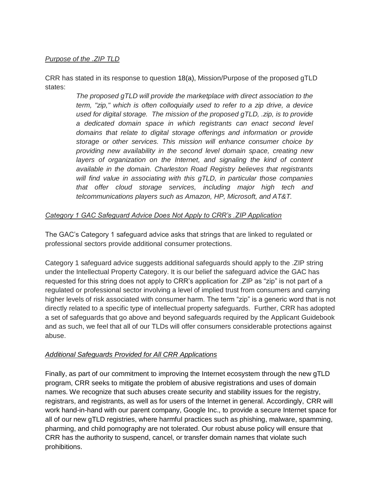### *Purpose of the .ZIP TLD*

CRR has stated in its response to question 18(a), Mission/Purpose of the proposed gTLD states:

> *The proposed gTLD will provide the marketplace with direct association to the term, "zip," which is often colloquially used to refer to a zip drive, a device used for digital storage. The mission of the proposed gTLD, .zip, is to provide a dedicated domain space in which registrants can enact second level domains that relate to digital storage offerings and information or provide storage or other services. This mission will enhance consumer choice by providing new availability in the second level domain space, creating new*  layers of organization on the Internet, and signaling the kind of content *available in the domain. Charleston Road Registry believes that registrants will find value in associating with this gTLD, in particular those companies that offer cloud storage services, including major high tech and telcommunications players such as Amazon, HP, Microsoft, and AT&T.*

#### *Category 1 GAC Safeguard Advice Does Not Apply to CRR's .ZIP Application*

The GAC's Category 1 safeguard advice asks that strings that are linked to regulated or professional sectors provide additional consumer protections.

Category 1 safeguard advice suggests additional safeguards should apply to the .ZIP string under the Intellectual Property Category. It is our belief the safeguard advice the GAC has requested for this string does not apply to CRR's application for .ZIP as "zip" is not part of a regulated or professional sector involving a level of implied trust from consumers and carrying higher levels of risk associated with consumer harm. The term "zip" is a generic word that is not directly related to a specific type of intellectual property safeguards. Further, CRR has adopted a set of safeguards that go above and beyond safeguards required by the Applicant Guidebook and as such, we feel that all of our TLDs will offer consumers considerable protections against abuse.

#### *Additional Safeguards Provided for All CRR Applications*

Finally, as part of our commitment to improving the Internet ecosystem through the new gTLD program, CRR seeks to mitigate the problem of abusive registrations and uses of domain names. We recognize that such abuses create security and stability issues for the registry, registrars, and registrants, as well as for users of the Internet in general. Accordingly, CRR will work hand-in-hand with our parent company, Google Inc., to provide a secure Internet space for all of our new gTLD registries, where harmful practices such as phishing, malware, spamming, pharming, and child pornography are not tolerated. Our robust abuse policy will ensure that CRR has the authority to suspend, cancel, or transfer domain names that violate such prohibitions.